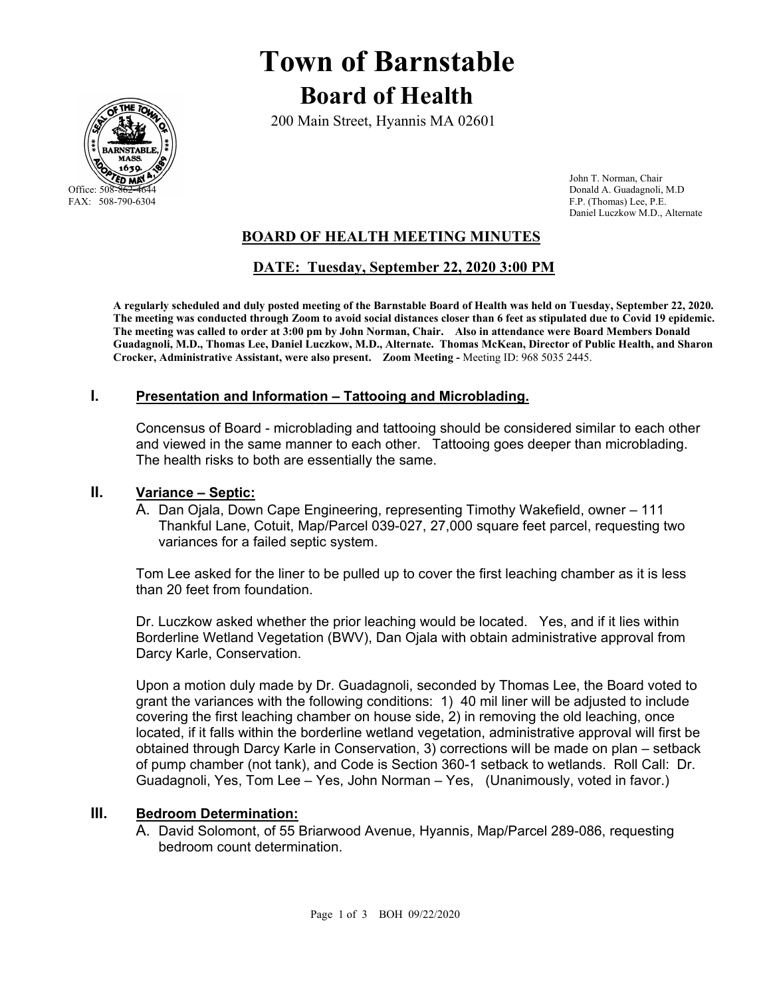

# **Town of Barnstable Board of Health**

200 Main Street, Hyannis MA 02601

 John T. Norman, Chair Office: 508-862-4644 Donald A. Guadagnoli, M.D<br>
FAX: 508-790-6304 FAX: 508-790-6304 F.P. (Thomas) Lee, P.E. Daniel Luczkow M.D., Alternate

## **BOARD OF HEALTH MEETING MINUTES**

## **DATE: Tuesday, September 22, 2020 3:00 PM**

**A regularly scheduled and duly posted meeting of the Barnstable Board of Health was held on Tuesday, September 22, 2020. The meeting was conducted through Zoom to avoid social distances closer than 6 feet as stipulated due to Covid 19 epidemic. The meeting was called to order at 3:00 pm by John Norman, Chair. Also in attendance were Board Members Donald Guadagnoli, M.D., Thomas Lee, Daniel Luczkow, M.D., Alternate. Thomas McKean, Director of Public Health, and Sharon Crocker, Administrative Assistant, were also present. Zoom Meeting -** Meeting ID: 968 5035 2445.

#### **I. Presentation and Information – Tattooing and Microblading.**

Concensus of Board - microblading and tattooing should be considered similar to each other and viewed in the same manner to each other. Tattooing goes deeper than microblading. The health risks to both are essentially the same.

#### **II. Variance – Septic:**

A. Dan Ojala, Down Cape Engineering, representing Timothy Wakefield, owner – 111 Thankful Lane, Cotuit, Map/Parcel 039-027, 27,000 square feet parcel, requesting two variances for a failed septic system.

Tom Lee asked for the liner to be pulled up to cover the first leaching chamber as it is less than 20 feet from foundation.

Dr. Luczkow asked whether the prior leaching would be located. Yes, and if it lies within Borderline Wetland Vegetation (BWV), Dan Ojala with obtain administrative approval from Darcy Karle, Conservation.

Upon a motion duly made by Dr. Guadagnoli, seconded by Thomas Lee, the Board voted to grant the variances with the following conditions: 1) 40 mil liner will be adjusted to include covering the first leaching chamber on house side, 2) in removing the old leaching, once located, if it falls within the borderline wetland vegetation, administrative approval will first be obtained through Darcy Karle in Conservation, 3) corrections will be made on plan – setback of pump chamber (not tank), and Code is Section 360-1 setback to wetlands. Roll Call: Dr. Guadagnoli, Yes, Tom Lee – Yes, John Norman – Yes, (Unanimously, voted in favor.)

### **III. Bedroom Determination:**

A. David Solomont, of 55 Briarwood Avenue, Hyannis, Map/Parcel 289-086, requesting bedroom count determination.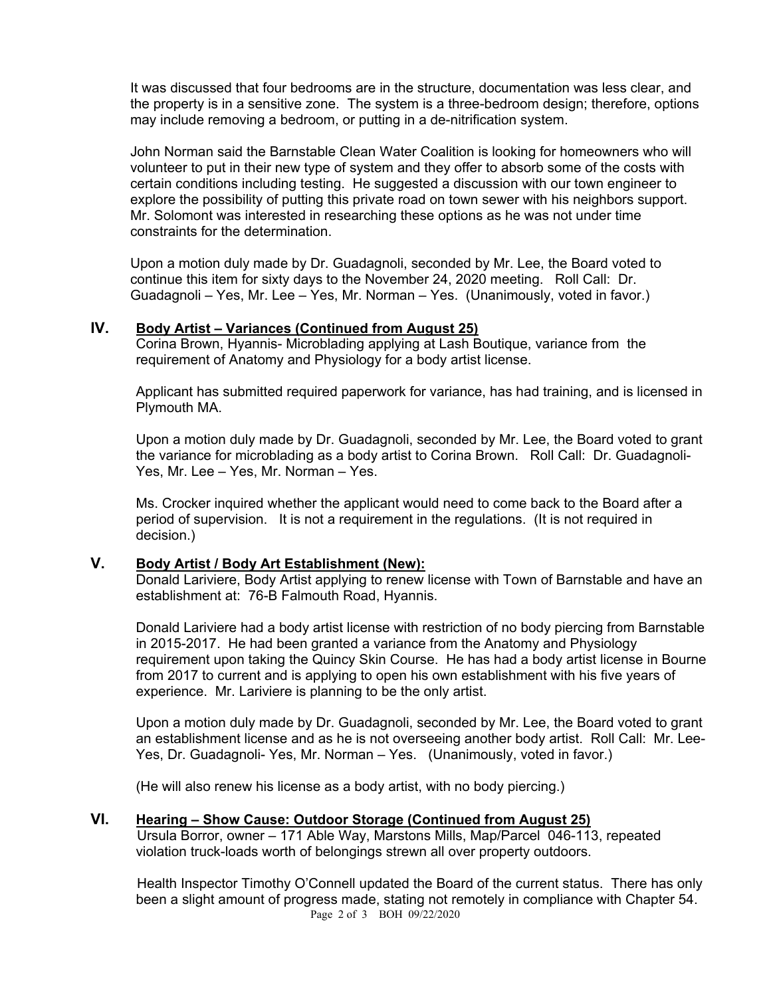It was discussed that four bedrooms are in the structure, documentation was less clear, and the property is in a sensitive zone. The system is a three-bedroom design; therefore, options may include removing a bedroom, or putting in a de-nitrification system.

John Norman said the Barnstable Clean Water Coalition is looking for homeowners who will volunteer to put in their new type of system and they offer to absorb some of the costs with certain conditions including testing. He suggested a discussion with our town engineer to explore the possibility of putting this private road on town sewer with his neighbors support. Mr. Solomont was interested in researching these options as he was not under time constraints for the determination.

Upon a motion duly made by Dr. Guadagnoli, seconded by Mr. Lee, the Board voted to continue this item for sixty days to the November 24, 2020 meeting. Roll Call: Dr. Guadagnoli – Yes, Mr. Lee – Yes, Mr. Norman – Yes. (Unanimously, voted in favor.)

#### **IV. Body Artist – Variances (Continued from August 25)**

Corina Brown, Hyannis- Microblading applying at Lash Boutique, variance from the requirement of Anatomy and Physiology for a body artist license.

Applicant has submitted required paperwork for variance, has had training, and is licensed in Plymouth MA.

Upon a motion duly made by Dr. Guadagnoli, seconded by Mr. Lee, the Board voted to grant the variance for microblading as a body artist to Corina Brown. Roll Call: Dr. Guadagnoli-Yes, Mr. Lee – Yes, Mr. Norman – Yes.

Ms. Crocker inquired whether the applicant would need to come back to the Board after a period of supervision. It is not a requirement in the regulations. (It is not required in decision.)

#### **V. Body Artist / Body Art Establishment (New):**

Donald Lariviere, Body Artist applying to renew license with Town of Barnstable and have an establishment at: 76-B Falmouth Road, Hyannis.

Donald Lariviere had a body artist license with restriction of no body piercing from Barnstable in 2015-2017. He had been granted a variance from the Anatomy and Physiology requirement upon taking the Quincy Skin Course. He has had a body artist license in Bourne from 2017 to current and is applying to open his own establishment with his five years of experience. Mr. Lariviere is planning to be the only artist.

Upon a motion duly made by Dr. Guadagnoli, seconded by Mr. Lee, the Board voted to grant an establishment license and as he is not overseeing another body artist. Roll Call: Mr. Lee-Yes, Dr. Guadagnoli- Yes, Mr. Norman – Yes. (Unanimously, voted in favor.)

(He will also renew his license as a body artist, with no body piercing.)

#### **VI. Hearing – Show Cause: Outdoor Storage (Continued from August 25)**

Ursula Borror, owner – 171 Able Way, Marstons Mills, Map/Parcel 046-113, repeated violation truck-loads worth of belongings strewn all over property outdoors.

Page 2 of 3 BOH 09/22/2020 Health Inspector Timothy O'Connell updated the Board of the current status. There has only been a slight amount of progress made, stating not remotely in compliance with Chapter 54.